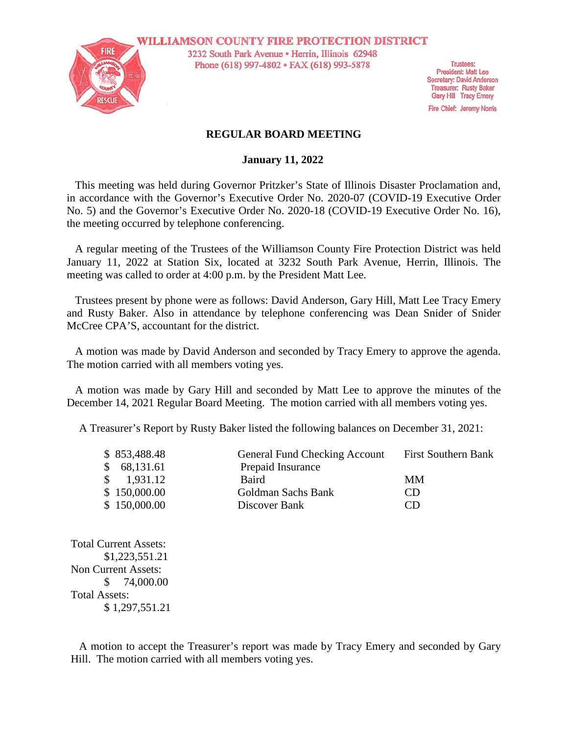

**WILLIAMSON COUNTY FIRE PROTECTION DISTRICT** 3232 South Park Avenue · Herrin, Illinois 62948 Phone (618) 997-4802 · FAX (618) 993-5878

**Trustees: President: Matt Lee** Secretary: David Anderson **Treasurer: Rusty Baker** Gary Hill Tracy Emery

Fire Chief: Jeremy Norris

### **REGULAR BOARD MEETING**

#### **January 11, 2022**

This meeting was held during Governor Pritzker's State of Illinois Disaster Proclamation and, in accordance with the Governor's Executive Order No. 2020-07 (COVID-19 Executive Order No. 5) and the Governor's Executive Order No. 2020-18 (COVID-19 Executive Order No. 16), the meeting occurred by telephone conferencing.

A regular meeting of the Trustees of the Williamson County Fire Protection District was held January 11, 2022 at Station Six, located at 3232 South Park Avenue, Herrin, Illinois. The meeting was called to order at 4:00 p.m. by the President Matt Lee.

Trustees present by phone were as follows: David Anderson, Gary Hill, Matt Lee Tracy Emery and Rusty Baker. Also in attendance by telephone conferencing was Dean Snider of Snider McCree CPA'S, accountant for the district.

A motion was made by David Anderson and seconded by Tracy Emery to approve the agenda. The motion carried with all members voting yes.

A motion was made by Gary Hill and seconded by Matt Lee to approve the minutes of the December 14, 2021 Regular Board Meeting. The motion carried with all members voting yes.

A Treasurer's Report by Rusty Baker listed the following balances on December 31, 2021:

| \$853,488.48 | <b>General Fund Checking Account</b> | <b>First Southern Bank</b> |
|--------------|--------------------------------------|----------------------------|
| 68,131.61    | Prepaid Insurance                    |                            |
| 1,931.12     | Baird                                | MМ                         |
| \$150,000.00 | Goldman Sachs Bank                   | CD.                        |
| \$150,000.00 | Discover Bank                        | CD                         |

Total Current Assets: \$1,223,551.21 Non Current Assets: \$ 74,000.00 Total Assets: \$ 1,297,551.21

A motion to accept the Treasurer's report was made by Tracy Emery and seconded by Gary Hill. The motion carried with all members voting yes.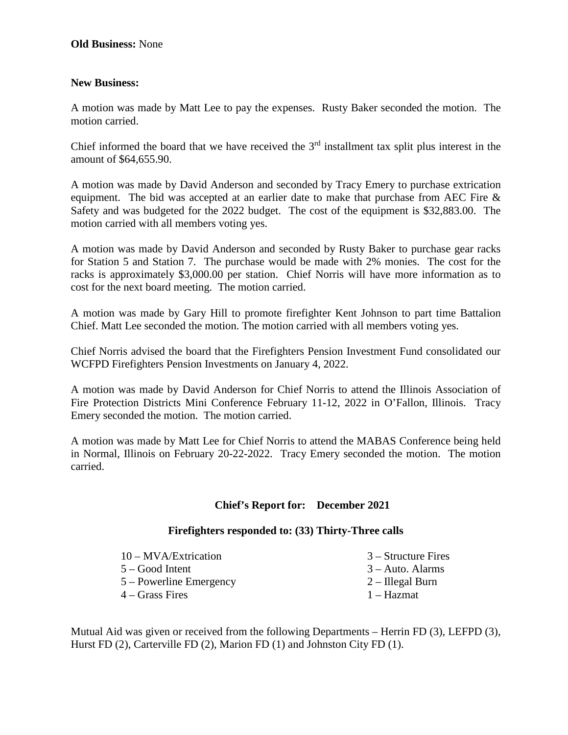# **New Business:**

A motion was made by Matt Lee to pay the expenses. Rusty Baker seconded the motion. The motion carried.

Chief informed the board that we have received the  $3<sup>rd</sup>$  installment tax split plus interest in the amount of \$64,655.90.

A motion was made by David Anderson and seconded by Tracy Emery to purchase extrication equipment. The bid was accepted at an earlier date to make that purchase from AEC Fire & Safety and was budgeted for the 2022 budget. The cost of the equipment is \$32,883.00. The motion carried with all members voting yes.

A motion was made by David Anderson and seconded by Rusty Baker to purchase gear racks for Station 5 and Station 7. The purchase would be made with 2% monies. The cost for the racks is approximately \$3,000.00 per station. Chief Norris will have more information as to cost for the next board meeting. The motion carried.

A motion was made by Gary Hill to promote firefighter Kent Johnson to part time Battalion Chief. Matt Lee seconded the motion. The motion carried with all members voting yes.

Chief Norris advised the board that the Firefighters Pension Investment Fund consolidated our WCFPD Firefighters Pension Investments on January 4, 2022.

A motion was made by David Anderson for Chief Norris to attend the Illinois Association of Fire Protection Districts Mini Conference February 11-12, 2022 in O'Fallon, Illinois. Tracy Emery seconded the motion. The motion carried.

A motion was made by Matt Lee for Chief Norris to attend the MABAS Conference being held in Normal, Illinois on February 20-22-2022. Tracy Emery seconded the motion. The motion carried.

# **Chief's Report for: December 2021**

#### **Firefighters responded to: (33) Thirty-Three calls**

| 10 – MVA/Extrication | $3 -$ Structure Fires     |
|----------------------|---------------------------|
| 5 – Good Intent      | $3 - \text{Auto. Alarms}$ |

- 5 Powerline Emergency
- 4 Grass Fires
- 2 Illegal Burn
- 
- 1 Hazmat

Mutual Aid was given or received from the following Departments – Herrin FD (3), LEFPD (3), Hurst FD (2), Carterville FD (2), Marion FD (1) and Johnston City FD (1).